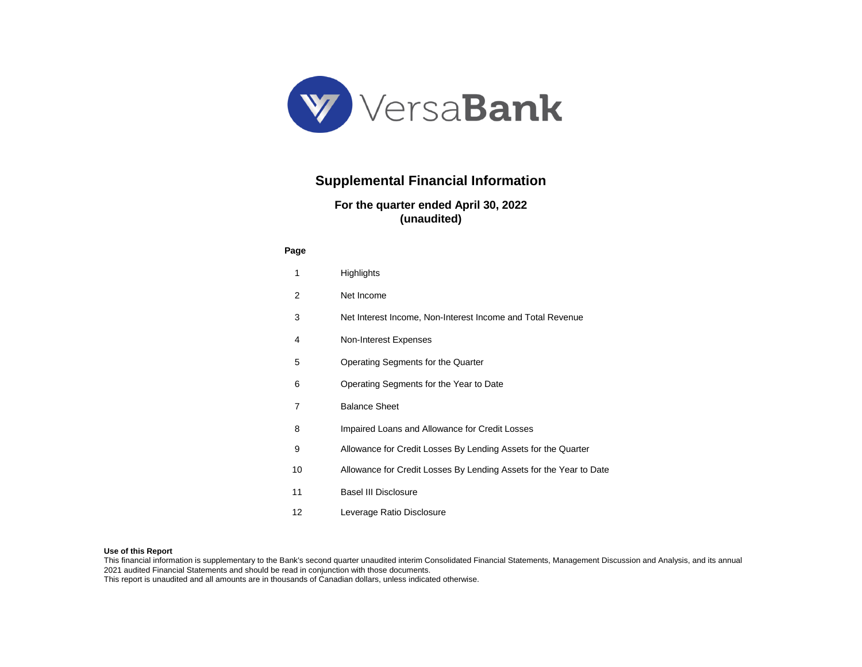

# **Supplemental Financial Information**

## **For the quarter ended April 30, 2022 (unaudited)**

#### **Page**

| 1  | Highlights                                                         |
|----|--------------------------------------------------------------------|
| 2  | Net Income                                                         |
| 3  | Net Interest Income, Non-Interest Income and Total Revenue         |
| 4  | Non-Interest Expenses                                              |
| 5  | Operating Segments for the Quarter                                 |
| 6  | Operating Segments for the Year to Date                            |
| 7  | <b>Balance Sheet</b>                                               |
| 8  | Impaired Loans and Allowance for Credit Losses                     |
| 9  | Allowance for Credit Losses By Lending Assets for the Quarter      |
| 10 | Allowance for Credit Losses By Lending Assets for the Year to Date |
| 11 | <b>Basel III Disclosure</b>                                        |
| 12 | Leverage Ratio Disclosure                                          |

#### **Use of this Report**

This financial information is supplementary to the Bank's second quarter unaudited interim Consolidated Financial Statements, Management Discussion and Analysis, and its annual 2021 audited Financial Statements and should be read in conjunction with those documents.

This report is unaudited and all amounts are in thousands of Canadian dollars, unless indicated otherwise.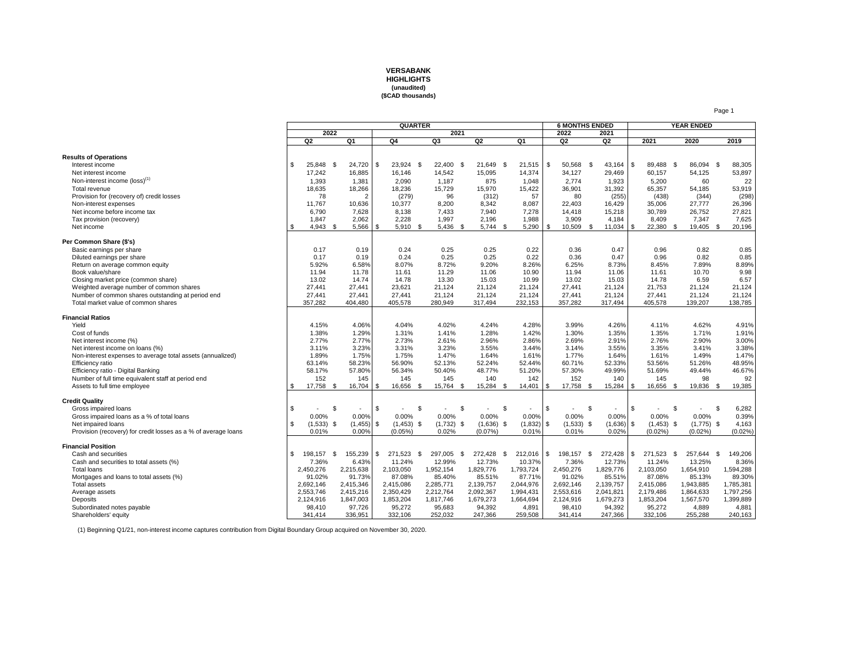

|                                                                |     |                |     |                |      | QUARTER         |                |      |              |      |                          |      | <b>6 MONTHS ENDED</b> |      |                |                |              |      | <b>YEAR ENDED</b> |    |            |
|----------------------------------------------------------------|-----|----------------|-----|----------------|------|-----------------|----------------|------|--------------|------|--------------------------|------|-----------------------|------|----------------|----------------|--------------|------|-------------------|----|------------|
|                                                                |     | 2022           |     |                |      |                 | 2021           |      |              |      |                          |      | 2022                  |      | 2021           |                |              |      |                   |    |            |
|                                                                |     | Q <sub>2</sub> |     | Q <sub>1</sub> |      | Q <sub>4</sub>  | Q3             |      | Q2           |      | Q1                       |      | Q <sub>2</sub>        |      | Q <sub>2</sub> |                | 2021         |      | 2020              |    | 2019       |
|                                                                |     |                |     |                |      |                 |                |      |              |      |                          |      |                       |      |                |                |              |      |                   |    |            |
| <b>Results of Operations</b>                                   |     |                |     |                |      |                 |                |      |              |      |                          |      |                       |      |                |                |              |      |                   |    |            |
| Interest income                                                | \$  | 25,848 \$      |     | 24,720         | S.   | 23,924<br>- \$  | 22,400 \$      |      | 21,649 \$    |      | 21,515                   | \$   | 50,568                | - \$ | 43,164         | $\mathfrak{L}$ | 89,488       | - \$ | 86,094 \$         |    | 88,305     |
| Net interest income                                            |     | 17.242         |     | 16,885         |      | 16,146          | 14,542         |      | 15,095       |      | 14,374                   |      | 34,127                |      | 29,469         |                | 60,157       |      | 54,125            |    | 53,897     |
| Non-interest income (loss) <sup>(1)</sup>                      |     | 1,393          |     | 1,381          |      | 2.090           | 1,187          |      | 875          |      | 1.048                    |      | 2.774                 |      | 1,923          |                | 5.200        |      | 60                |    | 22         |
| Total revenue                                                  |     | 18,635         |     | 18,266         |      | 18,236          | 15,729         |      | 15,970       |      | 15,422                   |      | 36.901                |      | 31,392         |                | 65,357       |      | 54.185            |    | 53,919     |
| Provision for (recovery of) credit losses                      |     | 78             |     | $\overline{2}$ |      | (279)           | 96             |      | (312)        |      | 57                       |      | 80                    |      | (255)          |                | (438)        |      | (344)             |    | (298)      |
| Non-interest expenses                                          |     | 11,767         |     | 10,636         |      | 10,377          | 8,200          |      | 8,342        |      | 8,087                    |      | 22,403                |      | 16,429         |                | 35,006       |      | 27,777            |    | 26,396     |
| Net income before income tax                                   |     | 6.790          |     | 7,628          |      | 8.138           | 7.433          |      | 7.940        |      | 7,278                    |      | 14,418                |      | 15,218         |                | 30,789       |      | 26,752            |    | 27,821     |
| Tax provision (recovery)                                       |     | 1,847          |     | 2,062          |      | 2,228           | 1,997          |      | 2,196        |      | 1,988                    |      | 3,909                 |      | 4,184          |                | 8,409        |      | 7,347             |    | 7,625      |
| Net income                                                     | \$  | $4,943$ \$     |     | 5,566          | \$   | 5,910 \$        | 5,436 \$       |      | $5,744$ \$   |      | 5,290                    | \$   | 10,509                | - \$ | 11,034         | -\$            | 22,380       | -\$  | 19,405 \$         |    | 20,196     |
|                                                                |     |                |     |                |      |                 |                |      |              |      |                          |      |                       |      |                |                |              |      |                   |    |            |
| Per Common Share (\$'s)                                        |     |                |     |                |      |                 |                |      |              |      |                          |      |                       |      |                |                |              |      |                   |    |            |
| Basic earnings per share                                       |     | 0.17           |     | 0.19           |      | 0.24            | 0.25           |      | 0.25         |      | 0.22                     |      | 0.36                  |      | 0.47           |                | 0.96         |      | 0.82              |    | 0.85       |
| Diluted earnings per share                                     |     | 0.17           |     | 0.19           |      | 0.24            | 0.25           |      | 0.25         |      | 0.22                     |      | 0.36                  |      | 0.47           |                | 0.96         |      | 0.82              |    | 0.85       |
| Return on average common equity                                |     | 5.92%          |     | 6.58%          |      | 8.07%           | 8.72%          |      | 9.20%        |      | 8.26%                    |      | 6.25%                 |      | 8.73%          |                | 8.45%        |      | 7.89%             |    | 8.89%      |
| Book value/share                                               |     | 11.94          |     | 11.78          |      | 11.61           | 11.29          |      | 11.06        |      | 10.90                    |      | 11.94                 |      | 11.06          |                | 11.61        |      | 10.70             |    | 9.98       |
| Closing market price (common share)                            |     | 13.02          |     | 14.74          |      | 14.78           | 13.30          |      | 15.03        |      | 10.99                    |      | 13.02                 |      | 15.03          |                | 14.78        |      | 6.59              |    | 6.57       |
| Weighted average number of common shares                       |     | 27,441         |     | 27,441         |      | 23,621          | 21,124         |      | 21,124       |      | 21,124                   |      | 27,441                |      | 21,124         |                | 21,753       |      | 21,124            |    | 21,124     |
| Number of common shares outstanding at period end              |     | 27,441         |     | 27,441         |      | 27,441          | 21,124         |      | 21,124       |      | 21,124                   |      | 27,441                |      | 21,124         |                | 27,441       |      | 21,124            |    | 21,124     |
| Total market value of common shares                            |     | 357,282        |     | 404,480        |      | 405,578         | 280,949        |      | 317,494      |      | 232,153                  |      | 357,282               |      | 317,494        |                | 405,578      |      | 139,207           |    | 138,785    |
| <b>Financial Ratios</b>                                        |     |                |     |                |      |                 |                |      |              |      |                          |      |                       |      |                |                |              |      |                   |    |            |
| Yield                                                          |     | 4.15%          |     | 4.06%          |      | 4.04%           | 4.02%          |      | 4.24%        |      | 4.28%                    |      | 3.99%                 |      | 4.26%          |                | 4.11%        |      | 4.62%             |    | 4.91%      |
| Cost of funds                                                  |     | 1.38%          |     | 1.29%          |      | 1.31%           | 1.41%          |      | 1.28%        |      | 1.42%                    |      | 1.30%                 |      | 1.35%          |                | 1.35%        |      | 1.71%             |    | 1.91%      |
| Net interest income (%)                                        |     | 2.77%          |     | 2.77%          |      | 2.73%           | 2.61%          |      | 2.96%        |      | 2.86%                    |      | 2.69%                 |      | 2.91%          |                | 2.76%        |      | 2.90%             |    | 3.00%      |
| Net interest income on loans (%)                               |     | 3.11%          |     | 3.23%          |      | 3.31%           | 3.23%          |      | 3.55%        |      | 3.44%                    |      | 3.14%                 |      | 3.55%          |                | 3.35%        |      | 3.41%             |    | 3.38%      |
| Non-interest expenses to average total assets (annualized)     |     | 1.89%          |     | 1.75%          |      | 1.75%           | 1.47%          |      | 1.64%        |      | 1.61%                    |      | 1.77%                 |      | 1.64%          |                | 1.61%        |      | 1.49%             |    | 1.47%      |
| <b>Efficiency ratio</b>                                        |     | 63.14%         |     | 58.23%         |      | 56.90%          | 52.13%         |      | 52.24%       |      | 52.44%                   |      | 60.71%                |      | 52.33%         |                | 53.56%       |      | 51.26%            |    | 48.95%     |
| Efficiency ratio - Digital Banking                             |     | 58.17%         |     | 57.80%         |      | 56.34%          | 50.40%         |      | 48.77%       |      | 51.20%                   |      | 57.30%                |      | 49.99%         |                | 51.69%       |      | 49.44%            |    | 46.67%     |
| Number of full time equivalent staff at period end             |     | 152            |     | 145            |      | 145             | 145            |      | 140          |      | 142                      |      | 152                   |      | 140            |                | 145          |      | 98                |    | 92         |
| Assets to full time employee                                   | \$  | 17,758 \$      |     | 16,704         | \$   | 16,656 \$       | 15,764 \$      |      | 15,284 \$    |      | 14,401                   | l \$ | 17,758 \$             |      | 15,284         | - \$           | 16,656       | - \$ | 19,836 \$         |    | 19,385     |
|                                                                |     |                |     |                |      |                 |                |      |              |      |                          |      |                       |      |                |                |              |      |                   |    |            |
| <b>Credit Quality</b>                                          |     |                |     |                |      |                 |                |      |              |      |                          |      |                       |      |                |                |              |      |                   |    |            |
| Gross impaired loans                                           | \$. |                | \$. |                | - \$ | \$              | $\blacksquare$ | -S   | ٠            | \$   | $\overline{\phantom{a}}$ | \$   |                       | -S   |                | \$.            |              | \$   | ٠                 | \$ | 6,282      |
| Gross impaired loans as a % of total loans                     |     | 0.00%          |     | 0.00%          |      | 0.00%           | 0.00%          |      | 0.00%        |      | 0.00%                    |      | 0.00%                 |      | 0.00%          |                | 0.00%        |      | 0.00%             |    | 0.39%      |
| Net impaired loans                                             | \$  | $(1,533)$ \$   |     | (1, 455)       | S.   | $(1,453)$ \$    | $(1,732)$ \$   |      | $(1,636)$ \$ |      | (1, 832)                 | \$   | $(1,533)$ \$          |      | $(1,636)$ \$   |                | $(1,453)$ \$ |      | $(1,775)$ \$      |    | 4,163      |
| Provision (recovery) for credit losses as a % of average loans |     | 0.01%          |     | 0.00%          |      | (0.05%          | 0.02%          |      | (0.07%       |      | 0.01%                    |      | 0.01%                 |      | 0.02%          |                | (0.02%       |      | (0.02%            |    | $(0.02\%)$ |
| <b>Financial Position</b>                                      |     |                |     |                |      |                 |                |      |              |      |                          |      |                       |      |                |                |              |      |                   |    |            |
| Cash and securities                                            | \$  | 198,157        | -S  | 155,239        | \$   | 271.523<br>- \$ | 297,005        | - \$ | 272,428      | - \$ | 212.016                  | \$   | 198.157               | - \$ | 272,428        | S              | 271.523      | - \$ | 257.644           | -S | 149,206    |
| Cash and securities to total assets (%)                        |     | 7.36%          |     | 6.43%          |      | 11.24%          | 12.99%         |      | 12.73%       |      | 10.37%                   |      | 7.36%                 |      | 12.73%         |                | 11.24%       |      | 13.25%            |    | 8.36%      |
| <b>Total loans</b>                                             |     | 2,450,276      |     | 2,215,638      |      | 2,103,050       | 1,952,154      |      | 1,829,776    |      | 1,793,724                |      | 2,450,276             |      | 1,829,776      |                | 2,103,050    |      | 1,654,910         |    | 1,594,288  |
| Mortgages and loans to total assets (%)                        |     | 91.02%         |     | 91.73%         |      | 87.08%          | 85.40%         |      | 85.51%       |      | 87.71%                   |      | 91.02%                |      | 85.51%         |                | 87.08%       |      | 85.13%            |    | 89.30%     |
| <b>Total assets</b>                                            |     | 2,692,146      |     | 2,415,346      |      | 2,415,086       | 2,285,771      |      | 2,139,757    |      | 2,044,976                |      | 2,692,146             |      | 2,139,757      |                | 2,415,086    |      | 1,943,885         |    | 1,785,381  |
| Average assets                                                 |     | 2,553,746      |     | 2,415,216      |      | 2,350,429       | 2,212,764      |      | 2,092,367    |      | 1,994,431                |      | 2,553,616             |      | 2,041,821      |                | 2,179,486    |      | 1,864,633         |    | 1,797,256  |
| Deposits                                                       |     | 2,124,916      |     | 1,847,003      |      | 1,853,204       | 1,817,746      |      | 1,679,273    |      | 1,664,694                |      | 2,124,916             |      | 1,679,273      |                | 1,853,204    |      | 1,567,570         |    | 1,399,889  |
| Subordinated notes payable                                     |     | 98,410         |     | 97,726         |      | 95,272          | 95,683         |      | 94,392       |      | 4,891                    |      | 98.410                |      | 94,392         |                | 95,272       |      | 4,889             |    | 4,881      |
| Shareholders' equity                                           |     | 341,414        |     | 336.951        |      | 332,106         | 252,032        |      | 247,366      |      | 259,508                  |      | 341,414               |      | 247,366        |                | 332,106      |      | 255,288           |    | 240,163    |

(1) Beginning Q1/21, non-interest income captures contribution from Digital Boundary Group acquired on November 30, 2020.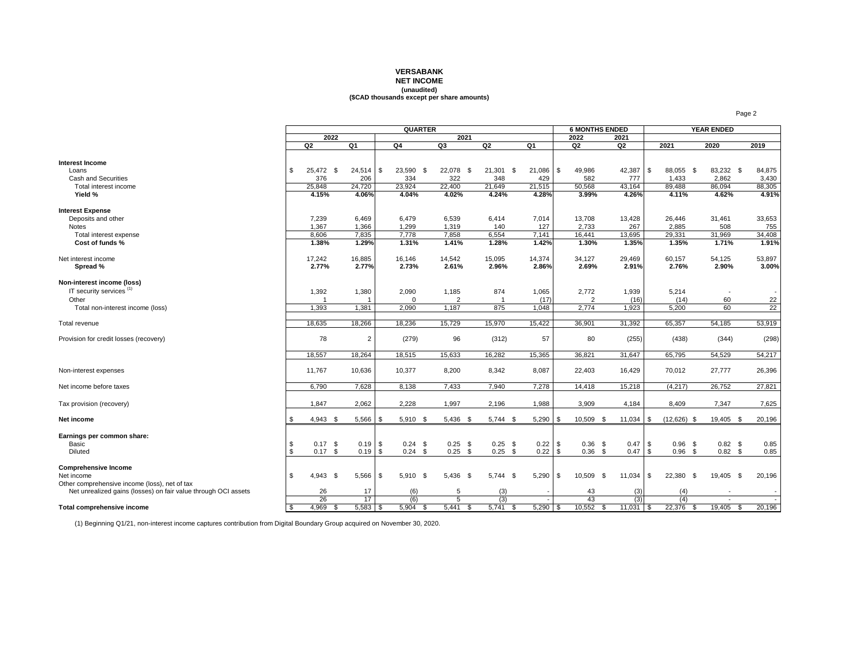#### **VERSABANK**

## **NET INCOME**

## **(unaudited) (\$CAD thousands except per share amounts)**

|                                                                |      |                |      |                | <b>QUARTER</b> |                |        |             |             |      |             | <b>6 MONTHS ENDED</b> |       |                         | <b>YEAR ENDED</b> |                 |
|----------------------------------------------------------------|------|----------------|------|----------------|----------------|----------------|--------|-------------|-------------|------|-------------|-----------------------|-------|-------------------------|-------------------|-----------------|
|                                                                |      |                | 2022 |                |                | 2021           |        |             |             | 2022 |             | 2021                  |       |                         |                   |                 |
|                                                                |      | Q2             |      | Q1             | Q4             | Q3             | Q2     |             | Q1          | Q2   |             | Q <sub>2</sub>        |       | 2021                    | 2020              | 2019            |
|                                                                |      |                |      |                |                |                |        |             |             |      |             |                       |       |                         |                   |                 |
| <b>Interest Income</b>                                         |      |                |      |                |                |                |        |             |             |      |             |                       |       |                         |                   |                 |
| Loans                                                          | \$   | 25.472 \$      |      | $24,514$ \$    | 23,590 \$      | 22,078 \$      |        | $21,301$ \$ | $21,086$ \$ |      | 49,986      | 42,387                |       | <b>S</b><br>88.055 \$   | 83,232 \$         | 84,875          |
| Cash and Securities                                            |      | 376            |      | 206            | 334            | 322            | 348    |             | 429         |      | 582         |                       | 777   | 1,433                   | 2,862             | 3,430           |
| Total interest income                                          |      | 25,848         |      | 24,720         | 23,924         | 22,400         | 21,649 |             | 21,515      |      | 50,568      | 43,164                |       | 89,488                  | 86,094            | 88,305          |
| Yield %                                                        |      | 4.15%          |      | 4.06%          | 4.04%          | 4.02%          | 4.24%  |             | 4.28%       |      | 3.99%       |                       | 4.26% | 4.11%                   | 4.62%             | 4.91%           |
| <b>Interest Expense</b>                                        |      |                |      |                |                |                |        |             |             |      |             |                       |       |                         |                   |                 |
| Deposits and other                                             |      | 7,239          |      | 6,469          | 6,479          | 6,539          | 6,414  |             | 7,014       |      | 13,708      | 13,428                |       | 26,446                  | 31,461            | 33,653          |
| <b>Notes</b>                                                   |      | 1,367          |      | 1,366          | 1,299          | 1,319          | 140    |             | 127         |      | 2,733       |                       | 267   | 2.885                   | 508               | 755             |
| Total interest expense                                         |      | 8,606          |      | 7,835          | 7,778          | 7,858          | 6,554  |             | 7,141       |      | 16,441      | 13,695                |       | 29,331                  | 31,969            | 34,408          |
| Cost of funds %                                                |      | 1.38%          |      | 1.29%          | 1.31%          | 1.41%          | 1.28%  |             | 1.42%       |      | 1.30%       |                       | 1.35% | 1.35%                   | 1.71%             | 1.91%           |
|                                                                |      |                |      |                |                |                |        |             |             |      |             |                       |       |                         |                   |                 |
| Net interest income                                            |      | 17,242         |      | 16,885         | 16,146         | 14,542         | 15,095 |             | 14,374      |      | 34,127      | 29,469                |       | 60,157                  | 54,125            | 53,897          |
| Spread %                                                       |      | 2.77%          |      | 2.77%          | 2.73%          | 2.61%          | 2.96%  |             | 2.86%       |      | 2.69%       |                       | 2.91% | 2.76%                   | 2.90%             | 3.00%           |
|                                                                |      |                |      |                |                |                |        |             |             |      |             |                       |       |                         |                   |                 |
| Non-interest income (loss)                                     |      |                |      |                |                |                |        |             |             |      |             |                       |       |                         |                   |                 |
| IT security services <sup>(1)</sup>                            |      | 1,392          |      | 1,380          | 2,090          | 1,185          | 874    |             | 1,065       |      | 2,772       | 1,939                 |       | 5,214                   |                   |                 |
| Other                                                          |      | $\overline{1}$ |      | $\overline{1}$ | $\mathbf 0$    | $\overline{2}$ |        |             | (17)        |      | 2           |                       | (16)  | (14)                    | 60                | 22              |
| Total non-interest income (loss)                               |      | 1,393          |      | 1,381          | 2,090          | 1,187          | 875    |             | 1,048       |      | 2,774       |                       | 1,923 | 5,200                   | 60                | $\overline{22}$ |
| Total revenue                                                  |      | 18.635         |      | 18,266         | 18.236         | 15,729         | 15,970 |             | 15,422      |      | 36,901      | 31,392                |       | 65,357                  | 54,185            | 53,919          |
| Provision for credit losses (recovery)                         |      | 78             |      | $\overline{c}$ | (279)          | 96             | (312)  |             | 57          |      | 80          |                       | (255) | (438)                   | (344)             | (298)           |
|                                                                |      |                |      |                |                |                |        |             |             |      |             |                       |       |                         |                   |                 |
|                                                                |      | 18.557         |      | 18,264         | 18,515         | 15,633         | 16,282 |             | 15,365      |      | 36,821      | 31,647                |       | 65,795                  | 54,529            | 54,217          |
|                                                                |      |                |      |                |                |                |        |             |             |      |             |                       |       |                         |                   |                 |
| Non-interest expenses                                          |      | 11,767         |      | 10,636         | 10,377         | 8,200          | 8,342  |             | 8,087       |      | 22,403      | 16,429                |       | 70,012                  | 27,777            | 26,396          |
|                                                                |      |                |      |                |                |                |        |             |             |      |             |                       |       |                         |                   |                 |
| Net income before taxes                                        |      | 6,790          |      | 7,628          | 8,138          | 7,433          | 7,940  |             | 7,278       |      | 14,418      | 15,218                |       | (4, 217)                | 26,752            | 27,821          |
|                                                                |      |                |      |                |                |                |        |             |             |      |             |                       |       |                         |                   |                 |
| Tax provision (recovery)                                       |      | 1,847          |      | 2,062          | 2,228          | 1,997          | 2,196  |             | 1,988       |      | 3,909       | 4,184                 |       | 8,409                   | 7,347             | 7,625           |
|                                                                |      |                |      |                |                |                |        |             |             |      |             |                       |       |                         |                   |                 |
| Net income                                                     | - \$ | $4,943$ \$     |      | $5,566$ \ \$   | 5,910 \$       | $5,436$ \$     |        | $5,744$ \$  | $5,290$ \$  |      | 10,509 \$   | $11,034$ \\$          |       | $(12,626)$ \$           | 19,405 \$         | 20,196          |
| Earnings per common share:                                     |      |                |      |                |                |                |        |             |             |      |             |                       |       |                         |                   |                 |
| Basic                                                          | \$   | $0.17$ \$      |      | $0.19$ \$      | $0.24$ \$      | $0.25$ \$      |        | $0.25$ \$   | $0.22$ \$   |      | $0.36$ \$   |                       | 0.47  | \$<br>$0.96$ \$         | $0.82$ \$         | 0.85            |
| Diluted                                                        | \$   | $0.17$ \$      |      | $0.19$ \$      | $0.24$ \$      | $0.25$ \$      |        | $0.25$ \$   | $0.22$ \$   |      | $0.36$ \$   |                       | 0.47  | $\sqrt{3}$<br>$0.96$ \$ | $0.82$ \$         | 0.85            |
|                                                                |      |                |      |                |                |                |        |             |             |      |             |                       |       |                         |                   |                 |
| <b>Comprehensive Income</b>                                    |      |                |      |                |                |                |        |             |             |      |             |                       |       |                         |                   |                 |
| Net income                                                     | \$   | $4,943$ \$     |      | $5,566$ \$     | 5,910 \$       | 5,436 \$       |        | $5,744$ \$  | $5,290$ \$  |      | 10,509 \$   | 11,034                |       | \$<br>22,380 \$         | 19,405 \$         | 20,196          |
| Other comprehensive income (loss), net of tax                  |      |                |      |                |                |                |        |             |             |      |             |                       |       |                         |                   |                 |
| Net unrealized gains (losses) on fair value through OCI assets |      | 26             |      | 17             | (6)            | 5              |        | (3)         |             |      | 43          |                       | (3)   | (4)                     |                   |                 |
|                                                                |      | 26             |      | 17             | (6)            | 5              |        | (3)         |             |      | 43          |                       | (3)   | (4)                     |                   |                 |
| Total comprehensive income                                     | \$   | 4,969          | - \$ | $5,583$ \$     | $5,904$ \$     | $5,441$ \$     |        | $5,741$ \$  | $5,290$ \$  |      | $10,552$ \$ | $11,031$ \$           |       | 22,376<br>- \$          | $19,405$ \$       | 20,196          |

(1) Beginning Q1/21, non-interest income captures contribution from Digital Boundary Group acquired on November 30, 2020.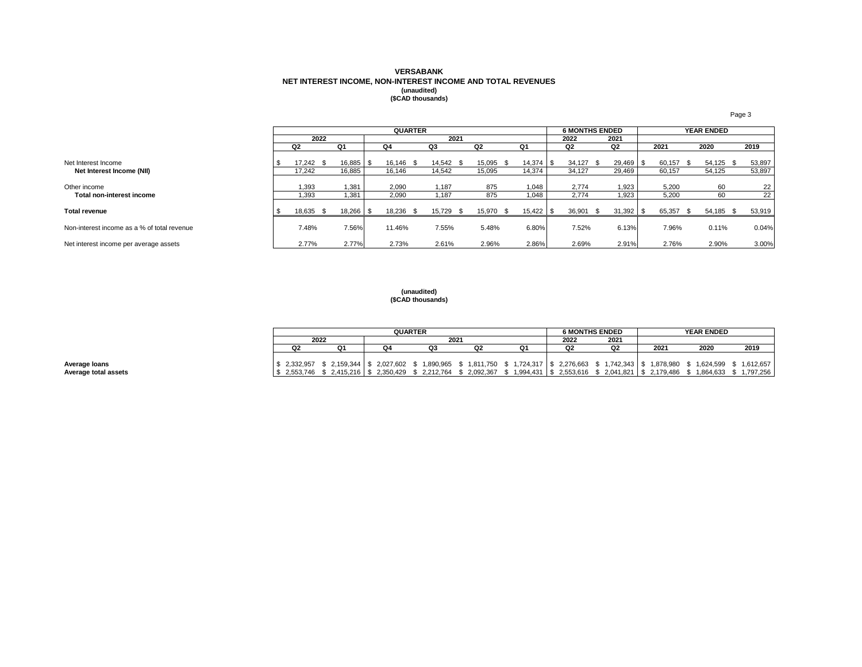# **VERSABANK NET INTEREST INCOME, NON-INTEREST INCOME AND TOTAL REVENUES (unaudited) (\$CAD thousands)**

|                                             |           |      |        |     | <b>QUARTER</b> |           |           |              | <b>6 MONTHS ENDED</b> |      |             |      |        | <b>YEAR ENDED</b> |           |      |        |
|---------------------------------------------|-----------|------|--------|-----|----------------|-----------|-----------|--------------|-----------------------|------|-------------|------|--------|-------------------|-----------|------|--------|
|                                             |           | 2022 |        |     |                | 2021      |           |              | 2022                  | 2021 |             |      |        |                   |           |      |        |
|                                             | Q2        |      | Q1     |     | Q4             | Q3        | Q2        | Q1           | Q2                    |      | Q2          | 2021 |        | 2020              |           | 2019 |        |
| Net Interest Income                         | 17.242 \$ |      | 16,885 | -\$ | 16.146 \$      | 14.542 \$ | 15.095    | $14,374$ \\$ | 34.127                | - \$ | 29,469 \$   |      | 60.157 |                   | 54.125 \$ |      | 53,897 |
| Net Interest Income (NII)                   | 17.242    |      | 16,885 |     | 16.146         | 14.542    | 15,095    | 14.374       | 34.127                |      | 29,469      |      | 60.157 |                   | 54.125    |      | 53,897 |
| Other income                                | 1.393     |      | 1,381  |     | 2,090          | .187      | 875       | 1.048        | 2.774                 |      | 1,923       |      | 5,200  |                   | 60        |      | 22     |
| Total non-interest income                   | 1.393     |      | 1,381  |     | 2,090          | .187      | 875       | 1,048        | 2,774                 |      | 1,923       |      | 5,200  |                   | 60        |      | 22     |
| <b>Total revenue</b>                        | 18,635    | - \$ | 18,266 | -\$ | 18,236 \$      | 15.729 \$ | 15,970 \$ | $15,422$ \$  | 36,901                | - \$ | $31,392$ \$ |      | 65,357 |                   | 54,185 \$ |      | 53,919 |
| Non-interest income as a % of total revenue | 7.48%     |      | 7.56%  |     | 11.46%         | 7.55%     | 5.48%     | 6.80%        | 7.52%                 |      | 6.13%       |      | 7.96%  |                   | 0.11%     |      | 0.04%  |
| Net interest income per average assets      | 2.77%     |      | 2.77%  |     | 2.73%          | 2.61%     | 2.96%     | 2.86%        | 2.69%                 |      | 2.91%       |      | 2.76%  |                   | 2.90%     |      | 3.00%  |

**(unaudited) (\$CAD thousands)**

|                      |                |      |                                        | QUARTER |      |                                                                                                                          | <b>6 MONTHS ENDED</b> |      | <b>YEAR ENDED</b>         |           |
|----------------------|----------------|------|----------------------------------------|---------|------|--------------------------------------------------------------------------------------------------------------------------|-----------------------|------|---------------------------|-----------|
|                      |                | 2022 |                                        |         | 2021 | 2022                                                                                                                     | 2021                  |      |                           |           |
|                      | Q <sub>2</sub> |      |                                        | Q3      | Q2   | Q2                                                                                                                       | Q2                    | 2021 | 2020                      | 2019      |
|                      |                |      |                                        |         |      |                                                                                                                          |                       |      |                           |           |
| Average Ioans        |                |      |                                        |         |      | '\$ 2,332,957 \$ 2,159,344  \$ 2,027,602 \$ 1,890,965 \$ 1,811,750 \$ 1,724,317  \$ 2,276,663 \$ 1,742,343  \$ 1,878,980 |                       |      | \$ 1.624.599 \$ 1.612.657 |           |
| Average total assets |                |      | $$2,553,746$ $$2,415,216$ $$2,350,429$ |         |      | \$ 2,212,764 \$ 2,092,367 \$ 1,994,431   \$ 2,553,616 \$ 2,041,821   \$ 2,179,486                                        |                       |      | 1.864.633 \$              | 1.797.256 |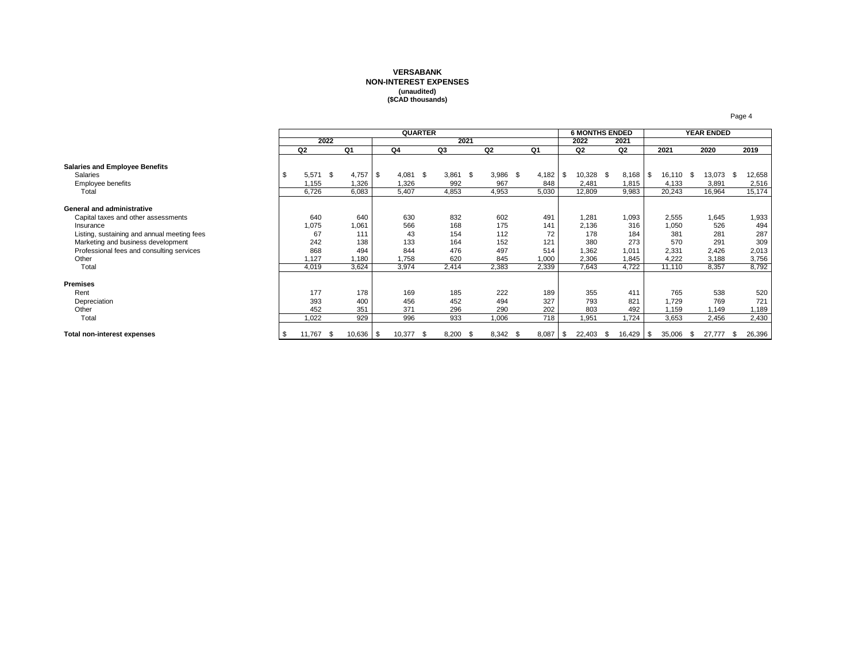### **VERSABANK NON-INTEREST EXPENSES (unaudited) (\$CAD thousands)**

|                                             |      |                |      |           |      | <b>QUARTER</b> |      |       |      |                |            | <b>6 MONTHS ENDED</b> |      |        |                 |      | <b>YEAR ENDED</b> |   |        |
|---------------------------------------------|------|----------------|------|-----------|------|----------------|------|-------|------|----------------|------------|-----------------------|------|--------|-----------------|------|-------------------|---|--------|
|                                             |      |                | 2022 |           |      |                |      |       | 2021 |                |            | 2022                  |      | 2021   |                 |      |                   |   |        |
|                                             |      | Q <sub>2</sub> |      | Q1        | Q4   |                |      | Q3    |      | Q <sub>2</sub> | Q1         | Q2                    |      | Q2     | 2021            |      | 2020              |   | 2019   |
| <b>Salaries and Employee Benefits</b>       |      |                |      |           |      |                |      |       |      |                |            |                       |      |        |                 |      |                   |   |        |
| Salaries                                    | -S   | 5,571          | - \$ | 4,757     | - \$ | 4,081          | - \$ | 3,861 | \$   | $3,986$ \$     | 4,182      | \$<br>10,328 \$       |      | 8,168  | \$<br>16,110 \$ |      | 13,073            | S | 12,658 |
| Employee benefits                           |      | 1,155          |      | 1,326     |      | 1,326          |      | 992   |      | 967            | 848        | 2,481                 |      | 1,815  | 4,133           |      | 3,891             |   | 2,516  |
| Total                                       |      | 6.726          |      | 6,083     |      | 5,407          |      | 4,853 |      | 4,953          | 5,030      | 12,809                |      | 9,983  | 20,243          |      | 16.964            |   | 15,174 |
| <b>General and administrative</b>           |      |                |      |           |      |                |      |       |      |                |            |                       |      |        |                 |      |                   |   |        |
| Capital taxes and other assessments         |      | 640            |      | 640       |      | 630            |      | 832   |      | 602            | 491        | 1,281                 |      | 1,093  | 2,555           |      | 1,645             |   | 1,933  |
| Insurance                                   |      | 1,075          |      | 1,061     |      | 566            |      | 168   |      | 175            | 141        | 2,136                 |      | 316    | 1,050           |      | 526               |   | 494    |
| Listing, sustaining and annual meeting fees |      | 67             |      | 111       |      | 43             |      | 154   |      | 112            | 72         | 178                   |      | 184    | 381             |      | 281               |   | 287    |
| Marketing and business development          |      | 242            |      | 138       |      | 133            |      | 164   |      | 152            | 121        | 380                   |      | 273    | 570             |      | 291               |   | 309    |
| Professional fees and consulting services   |      | 868            |      | 494       |      | 844            |      | 476   |      | 497            | 514        | 1,362                 |      | 1,011  | 2,331           |      | 2,426             |   | 2,013  |
| Other                                       |      | 1,127          |      | 1,180     |      | 1,758          |      | 620   |      | 845            | 1,000      | 2,306                 |      | 1,845  | 4,222           |      | 3,188             |   | 3,756  |
| Total                                       |      | 4,019          |      | 3,624     |      | 3,974          |      | 2,414 |      | 2,383          | 2,339      | 7,643                 |      | 4,722  | 11,110          |      | 8,357             |   | 8,792  |
| <b>Premises</b>                             |      |                |      |           |      |                |      |       |      |                |            |                       |      |        |                 |      |                   |   |        |
| Rent                                        |      | 177            |      | 178       |      | 169            |      | 185   |      | 222            | 189        | 355                   |      | 411    | 765             |      | 538               |   | 520    |
| Depreciation                                |      | 393            |      | 400       |      | 456            |      | 452   |      | 494            | 327        | 793                   |      | 821    | 1,729           |      | 769               |   | 721    |
| Other                                       |      | 452            |      | 351       |      | 371            |      | 296   |      | 290            | 202        | 803                   |      | 492    | 1,159           |      | 1,149             |   | 1,189  |
| Total                                       |      | 1,022          |      | 929       |      | 996            |      | 933   |      | 1,006          | 718        | 1,951                 |      | 1,724  | 3,653           |      | 2,456             |   | 2,430  |
| Total non-interest expenses                 | - \$ | 11,767         | \$   | 10,636 \$ |      | 10,377         | - \$ | 8,200 | - \$ | 8,342 \$       | $8,087$ \$ | 22,403                | - \$ | 16,429 | \$<br>35,006    | - \$ | 27,777            | S | 26,396 |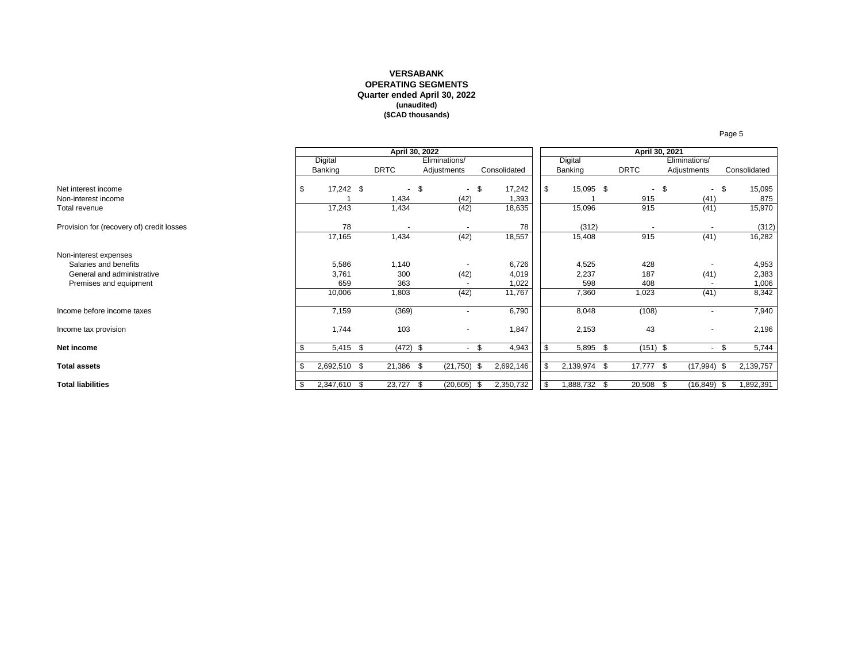#### **VERSABANK OPERATING SEGMENTS Quarter ended April 30, 2022 (unaudited) (\$CAD thousands)**

|                                                      |                    |             | April 30, 2022 |                          |      |                 |     |              | April 30, 2021        |     |                |      |                |
|------------------------------------------------------|--------------------|-------------|----------------|--------------------------|------|-----------------|-----|--------------|-----------------------|-----|----------------|------|----------------|
|                                                      | Digital            |             |                | Eliminations/            |      |                 |     | Digital      |                       |     | Eliminations/  |      |                |
|                                                      | Banking            | <b>DRTC</b> |                | Adjustments              |      | Consolidated    |     | Banking      | <b>DRTC</b>           |     | Adjustments    |      | Consolidated   |
| Net interest income<br>Non-interest income           | \$<br>17,242 \$    | 1,434       | - \$           | - \$<br>(42)             |      | 17,242<br>1,393 | \$  | 15,095 \$    | $\sim$<br>915         | \$  | $\sim$<br>(41) | - \$ | 15,095<br>875  |
| Total revenue                                        | 17,243             | 1,434       |                | (42)                     |      | 18,635          |     | 15,096       | 915                   |     | (41)           |      | 15,970         |
| Provision for (recovery of) credit losses            | 78                 |             | $\sim$         | $\overline{\phantom{a}}$ |      | 78              |     | (312)        | $\tilde{\phantom{a}}$ |     |                |      | (312)          |
|                                                      | 17,165             | 1,434       |                | (42)                     |      | 18,557          |     | 15,408       | 915                   |     | (41)           |      | 16,282         |
| Non-interest expenses                                |                    |             |                |                          |      |                 |     |              |                       |     |                |      |                |
| Salaries and benefits                                | 5,586              | 1,140       |                |                          |      | 6,726           |     | 4,525        | 428                   |     |                |      | 4,953          |
| General and administrative<br>Premises and equipment | 3,761<br>659       | 300<br>363  |                | (42)                     |      | 4,019<br>1,022  |     | 2,237<br>598 | 187<br>408            |     | (41)           |      | 2,383<br>1,006 |
|                                                      | 10,006             | 1,803       |                | (42)                     |      | 11,767          |     | 7,360        | 1,023                 |     | (41)           |      | 8,342          |
| Income before income taxes                           | 7,159              | (369)       |                | $\blacksquare$           |      | 6,790           |     | 8,048        | (108)                 |     | ۰.             |      | 7,940          |
| Income tax provision                                 | 1,744              | 103         |                | $\overline{\phantom{a}}$ |      | 1,847           |     | 2,153        | 43                    |     | ٠              |      | 2,196          |
| Net income                                           | 5,415 \$           |             | $(472)$ \$     | $-$ \$                   |      | 4,943           | \$  | 5,895 \$     | $(151)$ \$            |     | $\sim$         | - \$ | 5,744          |
| <b>Total assets</b>                                  | 2,692,510 \$       | 21,386 \$   |                | (21,750)                 | - \$ | 2,692,146       | -\$ | 2,139,974 \$ | 17,777                | -\$ | (17, 994)      | \$   | 2,139,757      |
| <b>Total liabilities</b>                             | \$<br>2,347,610 \$ | 23,727      | - \$           | $(20,605)$ \$            |      | 2,350,732       | \$  | 1,888,732 \$ | 20,508                | \$  | (16,849)       | - \$ | 1,892,391      |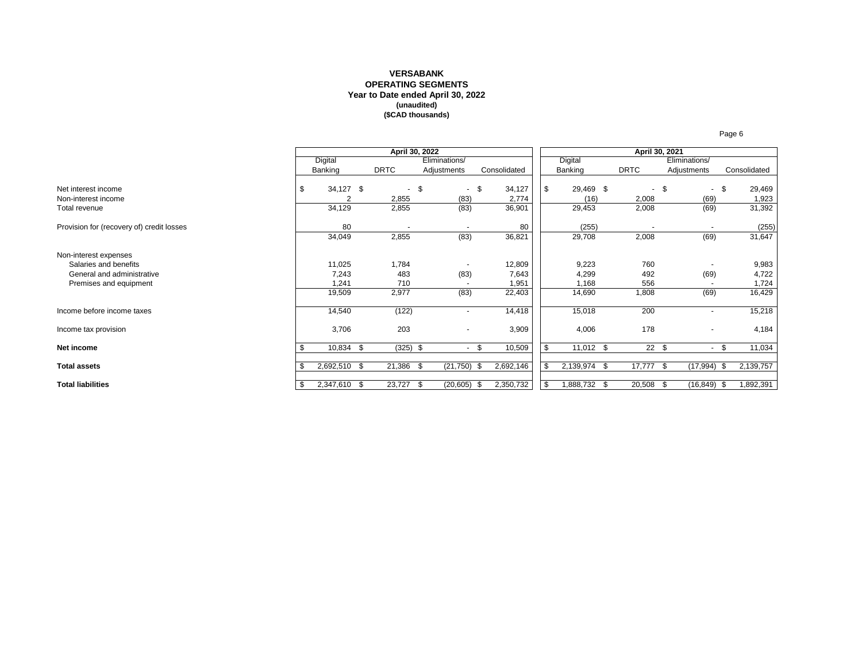#### **VERSABANK OPERATING SEGMENTS Year to Date ended April 30, 2022 (unaudited) (\$CAD thousands)**

|                                            |      |              | April 30, 2022  |      |                          |      |                 |     |                   | April 30, 2021  |      |                |     |                 |
|--------------------------------------------|------|--------------|-----------------|------|--------------------------|------|-----------------|-----|-------------------|-----------------|------|----------------|-----|-----------------|
|                                            |      | Digital      |                 |      | Eliminations/            |      |                 |     | Digital           |                 |      | Eliminations/  |     |                 |
|                                            |      | Banking      | <b>DRTC</b>     |      | Adjustments              |      | Consolidated    |     | Banking           | <b>DRTC</b>     |      | Adjustments    |     | Consolidated    |
| Net interest income<br>Non-interest income | \$   | 34,127 \$    | $\sim$<br>2,855 | \$   | $-$ \$<br>(83)           |      | 34,127<br>2,774 | \$  | 29,469 \$<br>(16) | $\sim$<br>2,008 | - \$ | $-$ \$<br>(69) |     | 29,469<br>1,923 |
| Total revenue                              |      | 34,129       | 2,855           |      | (83)                     |      | 36,901          |     | 29,453            | 2,008           |      | (69)           |     | 31,392          |
| Provision for (recovery of) credit losses  |      | 80           |                 |      |                          |      | 80              |     | (255)             |                 |      |                |     | (255)           |
|                                            |      | 34,049       | 2,855           |      | (83)                     |      | 36,821          |     | 29,708            | 2,008           |      | (69)           |     | 31,647          |
| Non-interest expenses                      |      |              |                 |      |                          |      |                 |     |                   |                 |      |                |     |                 |
| Salaries and benefits                      |      | 11,025       | 1,784           |      |                          |      | 12,809          |     | 9,223             | 760             |      |                |     | 9,983           |
| General and administrative                 |      | 7,243        | 483             |      | (83)                     |      | 7,643           |     | 4,299             | 492             |      | (69)           |     | 4,722           |
| Premises and equipment                     |      | 1,241        | 710             |      |                          |      | 1,951           |     | 1,168             | 556             |      |                |     | 1,724           |
|                                            |      | 19,509       | 2,977           |      | (83)                     |      | 22,403          |     | 14,690            | 1,808           |      | (69)           |     | 16,429          |
| Income before income taxes                 |      | 14,540       | (122)           |      | ٠                        |      | 14,418          |     | 15,018            | 200             |      | $\sim$         |     | 15,218          |
| Income tax provision                       |      | 3,706        | 203             |      | $\overline{\phantom{a}}$ |      | 3,909           |     | 4,006             | 178             |      | ٠              |     | 4,184           |
| Net income                                 |      | 10,834 \$    | $(325)$ \$      |      | $\sim$                   | \$.  | 10,509          | \$  | 11,012 \$         | 22S             |      | $\sim$         |     | 11,034          |
| <b>Total assets</b>                        | - \$ | 2,692,510 \$ | 21,386 \$       |      | (21, 750)                | - \$ | 2,692,146       | -\$ | 2,139,974 \$      | 17,777          | - \$ | (17, 994)      | -\$ | 2,139,757       |
| <b>Total liabilities</b>                   | - \$ | 2,347,610 \$ | 23,727          | - \$ | (20, 605)                |      | 2,350,732       | \$  | 1,888,732 \$      | 20,508          | \$   | $(16, 849)$ \$ |     | 1,892,391       |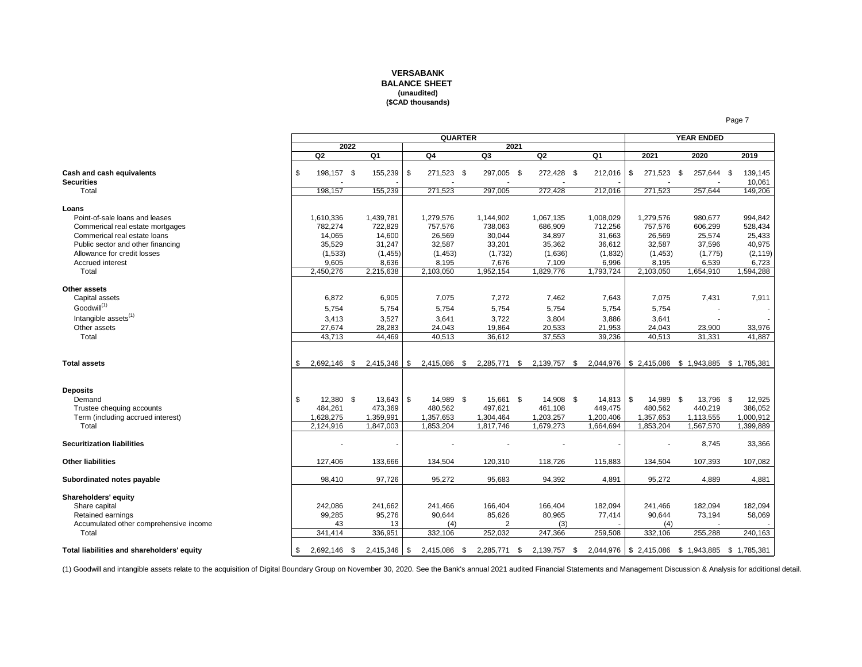#### **VERSABANK BALANCE SHEET (unaudited) (\$CAD thousands)**

|                                                                                                                                                                                                              |     |                                                                           |      |                                                                            | <b>QUARTER</b>                                                             |                                                                           |      |                                                                           |                                                                           |          |                                                                            | <b>YEAR ENDED</b>                                                       |                                                                          |
|--------------------------------------------------------------------------------------------------------------------------------------------------------------------------------------------------------------|-----|---------------------------------------------------------------------------|------|----------------------------------------------------------------------------|----------------------------------------------------------------------------|---------------------------------------------------------------------------|------|---------------------------------------------------------------------------|---------------------------------------------------------------------------|----------|----------------------------------------------------------------------------|-------------------------------------------------------------------------|--------------------------------------------------------------------------|
|                                                                                                                                                                                                              |     |                                                                           | 2022 |                                                                            |                                                                            |                                                                           | 2021 |                                                                           |                                                                           |          |                                                                            |                                                                         |                                                                          |
|                                                                                                                                                                                                              |     | Q2                                                                        |      | Q <sub>1</sub>                                                             | Q4                                                                         | Q3                                                                        |      | Q2                                                                        | Q1                                                                        |          | 2021                                                                       | 2020                                                                    | 2019                                                                     |
| Cash and cash equivalents<br><b>Securities</b>                                                                                                                                                               | \$  | 198,157 \$                                                                |      | 155,239 \$                                                                 | 271,523 \$                                                                 | 297,005 \$                                                                |      | 272,428 \$                                                                | 212,016                                                                   | - \$     | 271,523 \$                                                                 | 257,644 \$                                                              | 139,145<br>10,061                                                        |
| Total                                                                                                                                                                                                        |     | 198,157                                                                   |      | 155,239                                                                    | 271,523                                                                    | 297,005                                                                   |      | 272,428                                                                   | 212,016                                                                   |          | 271,523                                                                    | 257,644                                                                 | 149,206                                                                  |
| Loans<br>Point-of-sale loans and leases<br>Commerical real estate mortgages<br>Commerical real estate loans<br>Public sector and other financing<br>Allowance for credit losses<br>Accrued interest<br>Total |     | 1,610,336<br>782,274<br>14,065<br>35,529<br>(1,533)<br>9,605<br>2,450,276 |      | 1,439,781<br>722,829<br>14,600<br>31,247<br>(1, 455)<br>8,636<br>2,215,638 | 1,279,576<br>757,576<br>26,569<br>32,587<br>(1, 453)<br>8,195<br>2,103,050 | 1,144,902<br>738,063<br>30,044<br>33,201<br>(1,732)<br>7,676<br>1,952,154 |      | 1,067,135<br>686,909<br>34,897<br>35,362<br>(1,636)<br>7,109<br>1,829,776 | 1,008,029<br>712,256<br>31,663<br>36,612<br>(1,832)<br>6,996<br>1,793,724 |          | 1,279,576<br>757,576<br>26,569<br>32,587<br>(1, 453)<br>8,195<br>2,103,050 | 980.677<br>606,299<br>25,574<br>37,596<br>(1,775)<br>6,539<br>1,654,910 | 994,842<br>528,434<br>25,433<br>40,975<br>(2, 119)<br>6,723<br>1,594,288 |
| Other assets<br>Capital assets<br>Goodwill <sup>(1)</sup><br>Intangible assets <sup>(1)</sup><br>Other assets<br>Total                                                                                       |     | 6,872<br>5,754<br>3,413<br>27,674<br>43,713                               |      | 6,905<br>5,754<br>3,527<br>28,283<br>44,469                                | 7,075<br>5,754<br>3,641<br>24,043<br>40,513                                | 7,272<br>5,754<br>3,722<br>19,864<br>36,612                               |      | 7,462<br>5,754<br>3,804<br>20,533<br>37,553                               | 7,643<br>5,754<br>3.886<br>21,953<br>39,236                               |          | 7,075<br>5,754<br>3.641<br>24,043<br>40,513                                | 7,431<br>23,900<br>31,331                                               | 7,911<br>33,976<br>41,887                                                |
| <b>Total assets</b>                                                                                                                                                                                          | \$. | 2,692,146 \$                                                              |      | $2,415,346$ \\$                                                            | 2,415,086 \$                                                               | 2,285,771 \$                                                              |      | 2,139,757 \$                                                              |                                                                           |          |                                                                            | 2,044,976   \$2,415,086 \$1,943,885 \$1,785,381                         |                                                                          |
| <b>Deposits</b><br>Demand<br>Trustee chequing accounts<br>Term (including accrued interest)<br>Total                                                                                                         | \$  | 12,380 \$<br>484,261<br>1,628,275<br>2,124,916                            |      | $13,643$ \$<br>473,369<br>1,359,991<br>1,847,003                           | 14,989 \$<br>480,562<br>1,357,653<br>1,853,204                             | 15,661 \$<br>497,621<br>1,304,464<br>1,817,746                            |      | 14,908 \$<br>461,108<br>1,203,257<br>1,679,273                            | 14,813<br>449,475<br>1,200,406<br>1,664,694                               | <b>S</b> | 14,989 \$<br>480,562<br>1,357,653<br>1,853,204                             | 13,796 \$<br>440,219<br>1,113,555<br>1,567,570                          | 12,925<br>386,052<br>1,000,912<br>1,399,889                              |
| <b>Securitization liabilities</b>                                                                                                                                                                            |     |                                                                           |      |                                                                            |                                                                            |                                                                           |      |                                                                           |                                                                           |          |                                                                            | 8,745                                                                   | 33,366                                                                   |
| <b>Other liabilities</b>                                                                                                                                                                                     |     | 127,406                                                                   |      | 133,666                                                                    | 134,504                                                                    | 120,310                                                                   |      | 118,726                                                                   | 115,883                                                                   |          | 134,504                                                                    | 107,393                                                                 | 107,082                                                                  |
| Subordinated notes payable                                                                                                                                                                                   |     | 98,410                                                                    |      | 97,726                                                                     | 95,272                                                                     | 95,683                                                                    |      | 94,392                                                                    | 4,891                                                                     |          | 95,272                                                                     | 4,889                                                                   | 4,881                                                                    |
| Shareholders' equity<br>Share capital<br>Retained earnings<br>Accumulated other comprehensive income                                                                                                         |     | 242,086<br>99,285<br>43                                                   |      | 241,662<br>95,276<br>13                                                    | 241,466<br>90,644<br>(4)                                                   | 166,404<br>85,626<br>2                                                    |      | 166,404<br>80,965<br>(3)                                                  | 182,094<br>77,414                                                         |          | 241,466<br>90,644<br>(4)                                                   | 182,094<br>73,194                                                       | 182,094<br>58,069                                                        |
| Total                                                                                                                                                                                                        |     | 341,414                                                                   |      | 336,951                                                                    | 332,106                                                                    | 252,032                                                                   |      | 247,366                                                                   | 259,508                                                                   |          | 332,106                                                                    | 255,288                                                                 | 240,163                                                                  |
| Total liabilities and shareholders' equity                                                                                                                                                                   | \$  | 2,692,146 \$                                                              |      | $2,415,346$ \\$                                                            | 2,415,086 \$                                                               | 2,285,771 \$                                                              |      | 2,139,757 \$                                                              |                                                                           |          |                                                                            | 2,044,976 \$2,415,086 \$1,943,885 \$1,785,381                           |                                                                          |

(1) Goodwill and intangible assets relate to the acquisition of Digital Boundary Group on November 30, 2020. See the Bank's annual 2021 audited Financial Statements and Management Discussion & Analysis for additional detail.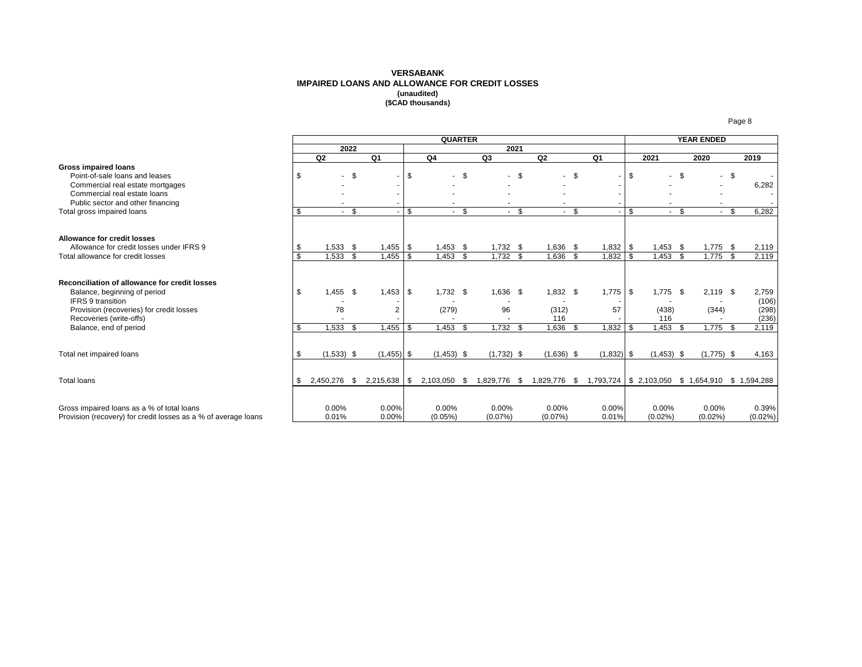#### **VERSABANK IMPAIRED LOANS AND ALLOWANCE FOR CREDIT LOSSES (unaudited) (\$CAD thousands)**

|                                                                                                                                                       |     |                     |                |                | <b>QUARTER</b>      |      |                          |        |                        |                                                 |     |                          |           | <b>YEAR ENDED</b>   |      |                         |
|-------------------------------------------------------------------------------------------------------------------------------------------------------|-----|---------------------|----------------|----------------|---------------------|------|--------------------------|--------|------------------------|-------------------------------------------------|-----|--------------------------|-----------|---------------------|------|-------------------------|
|                                                                                                                                                       |     |                     | 2022           |                |                     |      | 2021                     |        |                        |                                                 |     |                          |           |                     |      |                         |
|                                                                                                                                                       |     | Q <sub>2</sub>      |                | Q1             | Q4                  |      | Q3                       |        | Q2                     | Q <sub>1</sub>                                  |     | 2021                     |           | 2020                |      | 2019                    |
| <b>Gross impaired loans</b><br>Point-of-sale loans and leases<br>Commercial real estate mortgages<br>Commercial real estate loans                     | \$  |                     | $-$ \$         |                | \$<br>$\sim$        | - \$ |                          | - \$   | $-$ \$                 | $\sim$                                          | \$  |                          | <b>\$</b> |                     | - \$ | 6,282                   |
| Public sector and other financing                                                                                                                     |     |                     |                |                |                     |      |                          |        |                        |                                                 |     |                          |           |                     |      |                         |
| Total gross impaired loans                                                                                                                            | -96 |                     | $-$ \$         |                | \$<br>$\sim$        | -\$  |                          | $-$ \$ | $-$ \$                 |                                                 | \$  | $-$ \$                   |           | $-5$                |      | 6,282                   |
| Allowance for credit losses<br>Allowance for credit losses under IFRS 9                                                                               |     |                     |                |                |                     |      |                          |        |                        |                                                 |     |                          |           |                     |      |                         |
| Total allowance for credit losses                                                                                                                     | \$  | $1,533$ \$<br>1,533 | $\mathfrak{s}$ | $1,455$ \$     | $1,453$ \$<br>1,453 | - \$ | $1,732$ \$<br>$1,732$ \$ |        | 1,636 \$<br>$1,636$ \$ | $1,832$ \$<br>1,832                             | \$  | $1,453$ \$<br>$1,453$ \$ |           | $1,775$ \$<br>1,775 | -\$  | 2,119<br>2,119          |
|                                                                                                                                                       |     |                     |                |                |                     |      |                          |        |                        |                                                 |     |                          |           |                     |      |                         |
| Reconciliation of allowance for credit losses<br>Balance, beginning of period<br><b>IFRS 9 transition</b><br>Provision (recoveries) for credit losses | \$  | $1,455$ \$<br>78    |                | 2              | $1,732$ \$<br>(279) |      | 1,636 \$<br>96           |        | $1,832$ \$<br>(312)    | $1,775$   \$<br>57                              |     | $1.775$ \$<br>(438)      |           | $2,119$ \$<br>(344) |      | 2,759<br>(106)<br>(298) |
| Recoveries (write-offs)                                                                                                                               |     |                     |                |                |                     |      |                          |        | 116                    |                                                 |     | 116                      |           |                     |      | (236)                   |
| Balance, end of period                                                                                                                                | £.  | 1,533               | \$.            |                | 1,453               | - \$ | 1,732                    | - \$   | 1,636                  | 1,832                                           | . ድ | 1,453                    | \$        | 1,775               | - \$ | 2,119                   |
| Total net impaired loans                                                                                                                              | \$. | $(1,533)$ \$        |                | $(1,455)$ \$   | $(1,453)$ \$        |      | $(1,732)$ \$             |        | $(1,636)$ \$           | $(1,832)$ \$                                    |     | $(1,453)$ \$             |           | $(1,775)$ \$        |      | 4,163                   |
| <b>Total loans</b>                                                                                                                                    |     | 2,450,276           | - \$           | $2,215,638$ \$ | 2,103,050 \$        |      | 1,829,776 \$             |        | 1,829,776 \$           | 1,793,724   \$2,103,050 \$1,654,910 \$1,594,288 |     |                          |           |                     |      |                         |
| Gross impaired loans as a % of total loans<br>Provision (recovery) for credit losses as a % of average loans                                          |     | 0.00%<br>0.01%      |                | 0.00%<br>0.00% | 0.00%<br>(0.05%)    |      | 0.00%<br>(0.07%)         |        | $0.00\%$<br>(0.07%)    | $0.00\%$<br>0.01%                               |     | 0.00%<br>$(0.02\%)$      |           | 0.00%<br>$(0.02\%)$ |      | 0.39%<br>$(0.02\%)$     |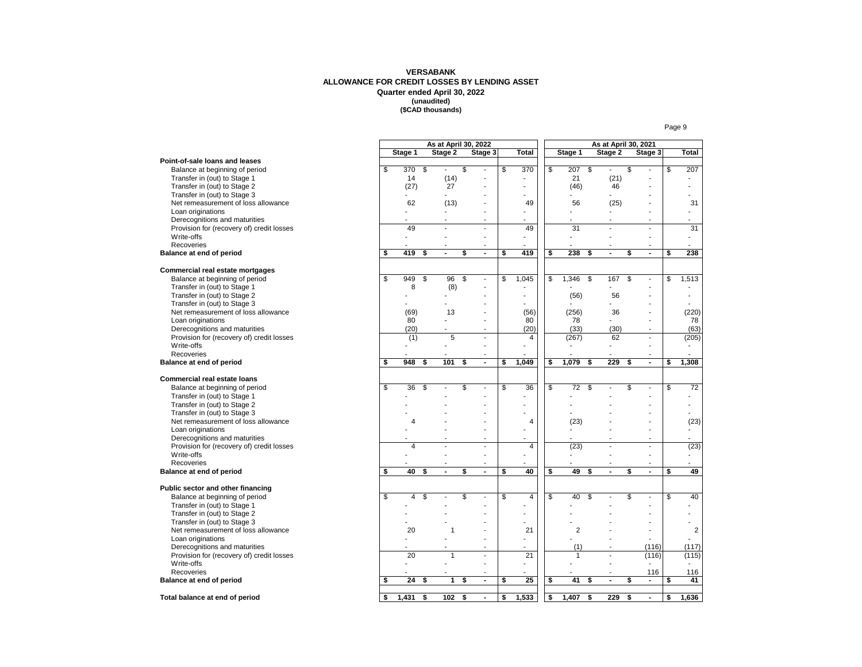#### **VERSABANK ALLOWANCE FOR CREDIT LOSSES BY LENDING ASSET Quarter ended April 30, 2022 (unaudited) (\$CAD thousands)**

|                                           |             | As at April 30, 2022 |                                |    |                |                       | As at April 30, 2021     |                          |    |                          |
|-------------------------------------------|-------------|----------------------|--------------------------------|----|----------------|-----------------------|--------------------------|--------------------------|----|--------------------------|
|                                           | Stage 1     | Stage 2              | Stage 3                        |    | <b>Total</b>   | Stage 1               | Stage 2                  | Stage 3                  |    | <b>Total</b>             |
| Point-of-sale loans and leases            |             |                      |                                |    |                |                       |                          |                          |    |                          |
| Balance at beginning of period            | \$<br>370   | \$<br>$\overline{a}$ | \$<br>$\overline{\phantom{a}}$ | \$ | 370            | \$<br>207             | \$                       | \$                       | \$ | 207                      |
| Transfer in (out) to Stage 1              | 14          | (14)                 |                                |    | ä,             | 21                    | (21)                     |                          |    | ÷,                       |
| Transfer in (out) to Stage 2              | (27)        | 27                   |                                |    | ÷,             | (46)                  | 46                       |                          |    | ٠                        |
| Transfer in (out) to Stage 3              |             |                      |                                |    |                |                       |                          |                          |    | ä,                       |
| Net remeasurement of loss allowance       | 62          | (13)                 |                                |    | 49             | 56                    | (25)                     |                          |    | 31                       |
| Loan originations                         |             |                      |                                |    | ä,             |                       |                          | ٠                        |    | $\overline{\phantom{0}}$ |
| Derecognitions and maturities             |             |                      |                                |    | L.             |                       |                          | $\overline{a}$           |    | L.                       |
| Provision for (recovery of) credit losses | 49          |                      |                                |    | 49             | 31                    |                          | $\overline{a}$           |    | 31                       |
| Write-offs                                |             | L.                   | $\overline{a}$                 |    | L.             | L.                    |                          | $\overline{a}$           |    | ÷                        |
|                                           |             |                      |                                |    |                |                       |                          |                          |    |                          |
| Recoveries                                |             | $\blacksquare$       |                                |    |                |                       |                          |                          |    | ٠                        |
| Balance at end of period                  | \$<br>419   | \$                   | \$<br>$\blacksquare$           | \$ | 419            | \$<br>238             | \$<br>$\blacksquare$     | \$<br>$\blacksquare$     | \$ | 238                      |
|                                           |             |                      |                                |    |                |                       |                          |                          |    |                          |
| Commercial real estate mortgages          |             |                      |                                |    |                |                       |                          |                          |    |                          |
| Balance at beginning of period            | \$<br>949   | \$<br>96             | \$<br>÷,                       | \$ | 1,045          | \$<br>1,346           | \$<br>167                | \$<br>$\overline{a}$     | \$ | 1,513                    |
| Transfer in (out) to Stage 1              | 8           | (8)                  |                                |    |                |                       |                          |                          |    |                          |
| Transfer in (out) to Stage 2              |             |                      |                                |    | ä,             | (56)                  | 56                       |                          |    | ٠                        |
| Transfer in (out) to Stage 3              |             |                      |                                |    |                |                       |                          | $\overline{a}$           |    | ÷                        |
| Net remeasurement of loss allowance       | (69)        | 13                   |                                |    | (56)           | (256)                 | 36                       |                          |    | (220)                    |
| Loan originations                         | 80          |                      |                                |    | 80             | 78                    |                          | $\overline{a}$           |    | 78                       |
| Derecognitions and maturities             | (20)        |                      |                                |    | (20)           | (33)                  | (30)                     | ٠                        |    | (63)                     |
| Provision for (recovery of) credit losses | (1)         | 5                    | $\overline{a}$                 |    | $\overline{4}$ | (267)                 | 62                       | $\sim$                   |    | (205)                    |
| Write-offs                                | ÷,          |                      |                                |    |                | ÷,                    |                          | $\overline{a}$           |    | ÷,                       |
| Recoveries                                |             |                      | $\blacksquare$                 |    |                |                       |                          | $\blacksquare$           |    |                          |
| Balance at end of period                  | \$<br>948   | \$<br>101            | \$<br>$\blacksquare$           | \$ | 1,049          | \$<br>1.079           | \$<br>229                | \$<br>$\sim$             | \$ | 1,308                    |
|                                           |             |                      |                                |    |                |                       |                          |                          |    |                          |
| <b>Commercial real estate loans</b>       |             |                      |                                |    |                |                       |                          |                          |    |                          |
| Balance at beginning of period            | \$<br>36    | \$                   | \$<br>÷,                       | S  | 36             | \$<br>$\overline{72}$ | \$                       | \$<br>÷,                 | S  | 72                       |
| Transfer in (out) to Stage 1              |             |                      |                                |    | ä,             |                       |                          |                          |    | ٠                        |
| Transfer in (out) to Stage 2              |             |                      |                                |    |                |                       |                          |                          |    | ÷,                       |
| Transfer in (out) to Stage 3              |             |                      |                                |    | ä,             |                       |                          |                          |    |                          |
| Net remeasurement of loss allowance       | 4           |                      |                                |    | 4              | (23)                  |                          |                          |    | (23)                     |
| Loan originations                         |             |                      |                                |    | L,             |                       |                          |                          |    | ٠                        |
| Derecognitions and maturities             | ÷           |                      |                                |    | ÷.             |                       |                          | ۰.                       |    |                          |
| Provision for (recovery of) credit losses | 4           |                      | ÷,                             |    | $\overline{4}$ | (23)                  | $\overline{\phantom{a}}$ | $\overline{\phantom{a}}$ |    | (23)                     |
| Write-offs                                |             | $\overline{a}$       | ٠                              |    | ä,             |                       |                          | $\overline{a}$           |    |                          |
| Recoveries                                |             |                      | $\overline{\phantom{a}}$       |    | L,             |                       |                          | $\overline{\phantom{a}}$ |    | ÷.                       |
|                                           | \$<br>40    | \$<br>$\blacksquare$ | \$<br>$\blacksquare$           | \$ | 40             | \$<br>49              | \$<br>$\blacksquare$     | \$<br>$\blacksquare$     | S  | 49                       |
| Balance at end of period                  |             |                      |                                |    |                |                       |                          |                          |    |                          |
| Public sector and other financing         |             |                      |                                |    |                |                       |                          |                          |    |                          |
| Balance at beginning of period            | \$<br>4     | \$                   | \$<br>$\overline{a}$           | S  | $\overline{4}$ | \$<br>40              | \$                       | \$<br>$\overline{a}$     | \$ | 40                       |
| Transfer in (out) to Stage 1              |             |                      |                                |    | ä,             |                       |                          | ÷,                       |    | ÷,                       |
|                                           |             |                      |                                |    | ٠              |                       |                          |                          |    | ٠                        |
| Transfer in (out) to Stage 2              |             |                      |                                |    |                |                       |                          |                          |    |                          |
| Transfer in (out) to Stage 3              |             |                      |                                |    |                |                       |                          |                          |    |                          |
| Net remeasurement of loss allowance       | 20          | 1                    |                                |    | 21             | $\overline{c}$        |                          | $\overline{a}$           |    | $\overline{2}$           |
| Loan originations                         |             |                      |                                |    | $\overline{a}$ |                       |                          |                          |    |                          |
| Derecognitions and maturities             |             |                      | $\overline{a}$                 |    | L.             | (1)                   |                          | (116)                    |    | (117)                    |
| Provision for (recovery of) credit losses | 20          | 1                    |                                |    | 21             | 1                     |                          | (116)                    |    | (115)                    |
| Write-offs                                |             |                      | $\overline{a}$                 |    | L,             |                       | $\overline{\phantom{a}}$ | $\overline{a}$           |    |                          |
| Recoveries                                |             |                      | $\sim$                         |    | ÷.             |                       | $\overline{a}$           | 116                      |    | 116                      |
| Balance at end of period                  | \$<br>24    | \$<br>1              | \$<br>$\blacksquare$           | \$ | 25             | \$<br>41              | \$<br>$\blacksquare$     | \$<br>$\blacksquare$     | \$ | 41                       |
|                                           |             |                      |                                |    |                |                       |                          |                          |    |                          |
| Total balance at end of period            | \$<br>1,431 | \$<br>102            | \$<br>$\blacksquare$           | \$ | 1,533          | \$<br>1,407           | \$<br>229                | \$<br>$\blacksquare$     | \$ | 1,636                    |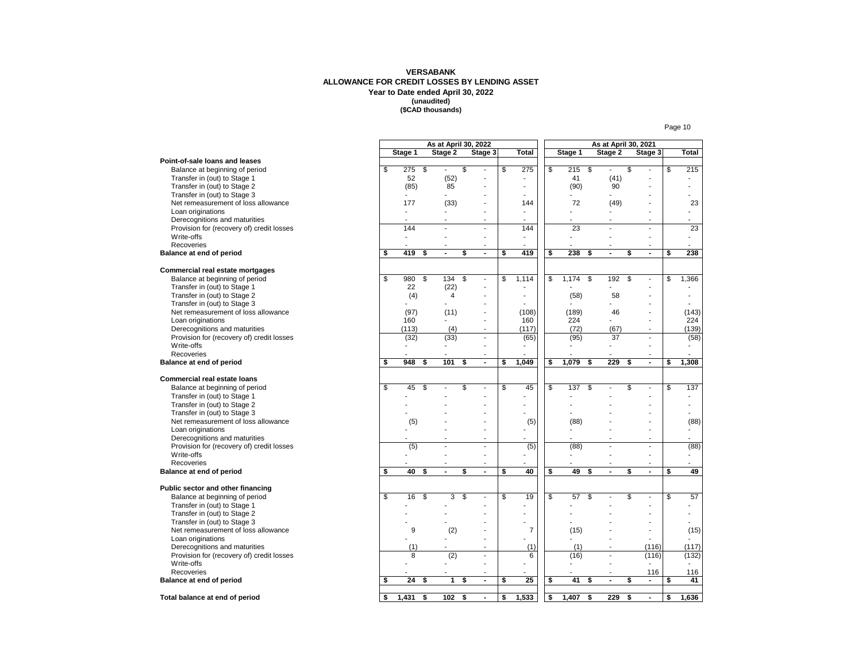#### **VERSABANK ALLOWANCE FOR CREDIT LOSSES BY LENDING ASSET Year to Date ended April 30, 2022 (unaudited) (\$CAD thousands)**

|                                           |    |                | As at April 30, 2022 |                          |               |                |    |       |    |                | As at April 30, 2021     |                      |    |        |
|-------------------------------------------|----|----------------|----------------------|--------------------------|---------------|----------------|----|-------|----|----------------|--------------------------|----------------------|----|--------|
|                                           |    | Stage 1        |                      | Stage 2                  |               | Stage 3        |    | Total |    | Stage 1        | Stage 2                  | Stage 3              |    | Total  |
| Point-of-sale loans and leases            |    |                |                      |                          |               |                |    |       |    |                |                          |                      |    |        |
| Balance at beginning of period            | \$ | 275            | \$                   | $\mathbf{r}$             | \$            | $\overline{a}$ | \$ | 275   | \$ | 215            | \$<br>$\overline{a}$     | \$<br>$\overline{a}$ | \$ | 215    |
| Transfer in (out) to Stage 1              |    | 52             |                      | (52)                     |               | ÷,             |    |       |    | 41             | (41)                     |                      |    |        |
| Transfer in (out) to Stage 2              |    | (85)           |                      | 85                       |               | ٠              |    |       |    | (90)           | 90                       | ٠                    |    |        |
| Transfer in (out) to Stage 3              |    | $\blacksquare$ |                      | ÷.                       |               | Ĭ.             |    |       |    |                |                          | ä,                   |    |        |
| Net remeasurement of loss allowance       |    | 177            |                      | (33)                     |               | ٠              |    | 144   |    | 72             | (49)                     | ٠                    |    | 23     |
|                                           |    |                |                      |                          |               | ٠              |    |       |    |                |                          | ٠                    |    |        |
| Loan originations                         |    |                |                      | L.                       |               | $\overline{a}$ |    |       |    |                | J.                       |                      |    |        |
| Derecognitions and maturities             |    |                |                      |                          |               |                |    | 144   |    |                |                          | ä,                   |    |        |
| Provision for (recovery of) credit losses |    | 144            |                      | $\overline{a}$           |               | ä,             |    |       |    | 23             | $\overline{\phantom{a}}$ | $\overline{a}$       |    | 23     |
| Write-offs                                |    |                |                      | $\overline{a}$           |               | ä,             |    |       |    |                | L,                       | ä,                   |    |        |
| Recoveries                                |    |                |                      |                          |               | ٠              |    |       |    |                |                          | ٠                    |    |        |
| Balance at end of period                  | \$ | 419            | \$                   | $\blacksquare$           | \$            | $\blacksquare$ | \$ | 419   | \$ | 238            | \$<br>$\blacksquare$     | \$<br>$\blacksquare$ | \$ | 238    |
| Commercial real estate mortgages          |    |                |                      |                          |               |                |    |       |    |                |                          |                      |    |        |
| Balance at beginning of period            | \$ | 980            | \$                   | 134                      | \$            | $\overline{a}$ | \$ | 1,114 | \$ | 1,174          | \$<br>192                | \$<br>$\overline{a}$ | \$ | 1,366  |
| Transfer in (out) to Stage 1              |    | 22             |                      | (22)                     |               | $\blacksquare$ |    |       |    |                | ä,                       | ٠                    |    |        |
| Transfer in (out) to Stage 2              |    | (4)            |                      | $\overline{4}$           |               | ٠              |    |       |    | (58)           | 58                       |                      |    |        |
| Transfer in (out) to Stage 3              |    |                |                      |                          |               | ٠              |    |       |    |                |                          | ÷                    |    |        |
| Net remeasurement of loss allowance       |    | (97)           |                      | (11)                     |               | ÷              |    | (108) |    | (189)          | 46                       | ÷                    |    | (143)  |
| Loan originations                         |    | 160            |                      |                          |               | ۰              |    | 160   |    | 224            |                          | ٠                    |    | 224    |
|                                           |    |                |                      |                          |               |                |    |       |    |                |                          |                      |    |        |
| Derecognitions and maturities             |    | (113)          |                      | (4)                      |               | ٠              |    | (117) |    | (72)           | (67)                     | ٠                    |    | (139)  |
| Provision for (recovery of) credit losses |    | (32)           |                      | (33)                     |               | ÷.             |    | (65)  |    | (95)           | 37                       | ÷,                   |    | (58)   |
| Write-offs                                |    | $\blacksquare$ |                      | $\overline{\phantom{0}}$ |               | $\overline{a}$ |    |       |    | $\blacksquare$ | $\overline{a}$           | $\overline{a}$       |    | $\sim$ |
| Recoveries                                |    |                |                      |                          |               | ٠              |    |       |    |                | $\blacksquare$           | ٠                    |    |        |
| Balance at end of period                  | \$ | 948            | \$                   | 101                      | \$            | $\blacksquare$ | \$ | 1,049 | \$ | 1,079          | \$<br>229                | \$<br>$\blacksquare$ | \$ | 1,308  |
| <b>Commercial real estate loans</b>       |    |                |                      |                          |               |                |    |       |    |                |                          |                      |    |        |
| Balance at beginning of period            | s, | 45             | \$                   |                          | \$            | ÷,             | S  | 45    | \$ | 137            | \$                       | \$<br>÷,             | S  | 137    |
| Transfer in (out) to Stage 1              |    |                |                      |                          |               | ÷              |    |       |    |                |                          | ٠                    |    |        |
| Transfer in (out) to Stage 2              |    |                |                      |                          |               |                |    |       |    |                |                          |                      |    |        |
| Transfer in (out) to Stage 3              |    |                |                      |                          |               |                |    |       |    |                |                          |                      |    |        |
| Net remeasurement of loss allowance       |    | (5)            |                      |                          |               |                |    | (5)   |    | (88)           |                          | ä,                   |    | (88)   |
| Loan originations                         |    |                |                      |                          |               |                |    |       |    |                |                          | Ĭ.                   |    |        |
| Derecognitions and maturities             |    |                |                      | <u>. .</u>               |               | ÷              |    |       |    |                | ÷                        | ٠                    |    |        |
|                                           |    | (5)            |                      | ÷,                       |               | $\overline{a}$ |    | (5)   |    | (88)           | ÷,                       | $\overline{a}$       |    | (88)   |
| Provision for (recovery of) credit losses |    |                |                      | $\overline{a}$           |               | ÷              |    |       |    |                |                          | ÷                    |    |        |
| Write-offs                                |    |                |                      |                          |               |                |    |       |    |                |                          |                      |    |        |
| Recoveries                                |    |                |                      |                          |               | $\overline{a}$ |    |       |    |                | Ĭ.                       | $\overline{a}$       |    |        |
| Balance at end of period                  | \$ | 40             | \$                   | $\blacksquare$           | \$            | $\blacksquare$ | \$ | 40    | S  | 49             | \$<br>÷,                 | \$<br>$\overline{a}$ | \$ | 49     |
| Public sector and other financing         |    |                |                      |                          |               |                |    |       |    |                |                          |                      |    |        |
| Balance at beginning of period            | \$ | 16             | \$                   | 3                        | $\mathsf{\$}$ | ÷,             | \$ | 19    | \$ | 57             | \$<br>$\overline{a}$     | \$<br>$\overline{a}$ | \$ | 57     |
| Transfer in (out) to Stage 1              |    |                |                      |                          |               | $\overline{a}$ |    |       |    |                |                          | ٠                    |    | ۰.     |
| Transfer in (out) to Stage 2              |    |                |                      |                          |               |                |    | ÷     |    |                |                          | ٠                    |    | a.     |
| Transfer in (out) to Stage 3              |    |                |                      |                          |               |                |    |       |    |                |                          | Ĭ.                   |    |        |
| Net remeasurement of loss allowance       |    | 9              |                      | (2)                      |               | ٠              |    | 7     |    | (15)           |                          | ÷                    |    | (15)   |
| Loan originations                         |    |                |                      |                          |               | Ĭ.             |    |       |    |                |                          | ÷,                   |    |        |
| Derecognitions and maturities             |    | (1)            |                      |                          |               | ٠              |    | (1)   |    | (1)            |                          | (116)                |    | (117)  |
| Provision for (recovery of) credit losses |    | 8              |                      | (2)                      |               | ٠              |    | 6     |    | (16)           | $\overline{a}$           | (116)                |    | (132)  |
| Write-offs                                |    |                |                      |                          |               | ä,             |    |       |    |                | L,                       |                      |    |        |
| Recoveries                                |    |                |                      |                          |               | ÷              |    |       |    |                |                          | 116                  |    | 116    |
| Balance at end of period                  | \$ | 24             | \$                   | $\mathbf{1}$             | \$            | $\blacksquare$ | \$ | 25    | \$ | 41             | \$<br>$\blacksquare$     | \$<br>$\blacksquare$ | \$ | 41     |
|                                           | \$ | 1,431          | \$                   | 102                      | \$            | $\blacksquare$ | \$ | 1,533 | \$ | 1,407          | \$<br>229                | \$<br>$\blacksquare$ | \$ | 1,636  |
| Total balance at end of period            |    |                |                      |                          |               |                |    |       |    |                |                          |                      |    |        |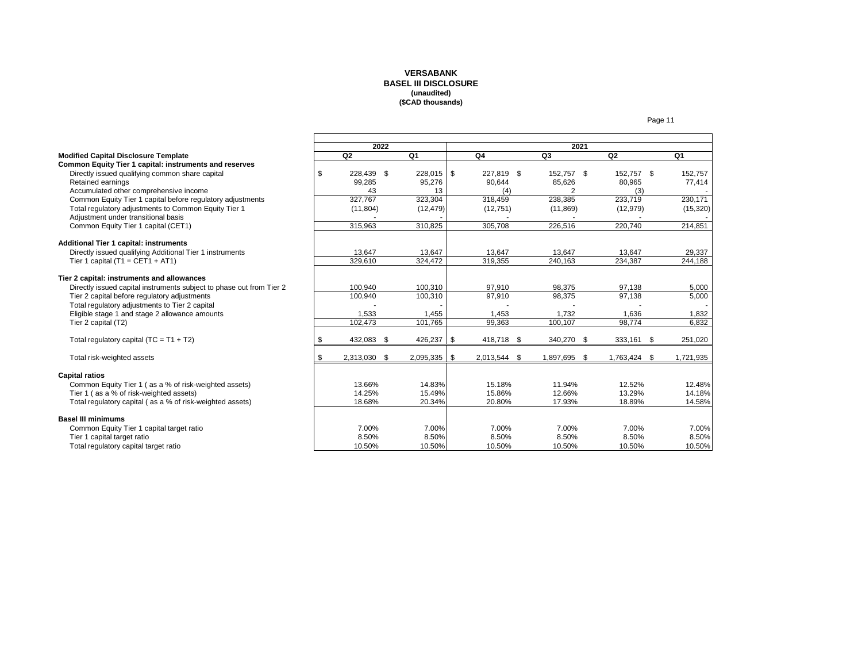#### **VERSABANK BASEL III DISCLOSURE (unaudited) (\$CAD thousands)**

|                                                                      | 2022 |                   |            |     | 2021       |      |            |     |              |  |           |
|----------------------------------------------------------------------|------|-------------------|------------|-----|------------|------|------------|-----|--------------|--|-----------|
| <b>Modified Capital Disclosure Template</b>                          |      | Q2                | Q1         |     | Q4         |      | Q3         |     | Q2           |  | Q1        |
| Common Equity Tier 1 capital: instruments and reserves               |      |                   |            |     |            |      |            |     |              |  |           |
| Directly issued qualifying common share capital                      | \$   | 228,439 \$        | 228,015 \$ |     | 227,819 \$ |      | 152,757 \$ |     | 152,757 \$   |  | 152,757   |
| Retained earnings                                                    |      | 99,285            | 95,276     |     | 90,644     |      | 85,626     |     | 80,965       |  | 77,414    |
| Accumulated other comprehensive income                               |      | 43                | 13         |     | (4)        |      |            |     | (3)          |  |           |
| Common Equity Tier 1 capital before regulatory adjustments           |      | 327,767           | 323,304    |     | 318,459    |      | 238,385    |     | 233,719      |  | 230,171   |
| Total regulatory adjustments to Common Equity Tier 1                 |      | (11, 804)         | (12, 479)  |     | (12,751)   |      | (11, 869)  |     | (12, 979)    |  | (15,320)  |
| Adjustment under transitional basis                                  |      |                   |            |     |            |      |            |     |              |  |           |
| Common Equity Tier 1 capital (CET1)                                  |      | 315,963           | 310,825    |     | 305,708    |      | 226,516    |     | 220,740      |  | 214,851   |
|                                                                      |      |                   |            |     |            |      |            |     |              |  |           |
| Additional Tier 1 capital: instruments                               |      |                   |            |     |            |      |            |     |              |  |           |
| Directly issued qualifying Additional Tier 1 instruments             |      | 13,647            | 13,647     |     | 13,647     |      | 13,647     |     | 13,647       |  | 29,337    |
| Tier 1 capital $(T1 = CET1 + AT1)$                                   |      | 329,610           | 324,472    |     | 319,355    |      | 240,163    |     | 234,387      |  | 244,188   |
| Tier 2 capital: instruments and allowances                           |      |                   |            |     |            |      |            |     |              |  |           |
| Directly issued capital instruments subject to phase out from Tier 2 |      | 100.940           | 100,310    |     | 97,910     |      | 98.375     |     | 97.138       |  | 5,000     |
| Tier 2 capital before regulatory adjustments                         |      | 100,940           | 100,310    |     | 97,910     |      | 98,375     |     | 97,138       |  | 5,000     |
| Total regulatory adjustments to Tier 2 capital                       |      |                   |            |     |            |      |            |     |              |  |           |
| Eligible stage 1 and stage 2 allowance amounts                       |      | 1,533             | 1,455      |     | 1,453      |      | 1,732      |     | 1,636        |  | 1,832     |
| Tier 2 capital (T2)                                                  |      | 102,473           | 101,765    |     | 99,363     |      | 100,107    |     | 98,774       |  | 6,832     |
|                                                                      |      |                   |            |     |            |      |            |     |              |  |           |
| Total regulatory capital $(TC = T1 + T2)$                            | \$   | 432,083 \$        | 426,237    | -\$ | 418,718 \$ |      | 340,270 \$ |     | 333,161 \$   |  | 251,020   |
| Total risk-weighted assets                                           | \$   | 2,313,030<br>- \$ | 2,095,335  | -\$ | 2,013,544  | - \$ | 1,897,695  | -\$ | 1,763,424 \$ |  | 1,721,935 |
|                                                                      |      |                   |            |     |            |      |            |     |              |  |           |
| <b>Capital ratios</b>                                                |      |                   |            |     |            |      |            |     |              |  |           |
| Common Equity Tier 1 (as a % of risk-weighted assets)                |      | 13.66%            | 14.83%     |     | 15.18%     |      | 11.94%     |     | 12.52%       |  | 12.48%    |
| Tier 1 (as a % of risk-weighted assets)                              |      | 14.25%            | 15.49%     |     | 15.86%     |      | 12.66%     |     | 13.29%       |  | 14.18%    |
| Total regulatory capital (as a % of risk-weighted assets)            |      | 18.68%            | 20.34%     |     | 20.80%     |      | 17.93%     |     | 18.89%       |  | 14.58%    |
|                                                                      |      |                   |            |     |            |      |            |     |              |  |           |
| <b>Basel III minimums</b>                                            |      |                   |            |     |            |      |            |     |              |  |           |
| Common Equity Tier 1 capital target ratio                            |      | 7.00%             | 7.00%      |     | 7.00%      |      | 7.00%      |     | 7.00%        |  | 7.00%     |
| Tier 1 capital target ratio                                          |      | 8.50%             | 8.50%      |     | 8.50%      |      | 8.50%      |     | 8.50%        |  | 8.50%     |
| Total regulatory capital target ratio                                |      | 10.50%            | 10.50%     |     | 10.50%     |      | 10.50%     |     | 10.50%       |  | 10.50%    |